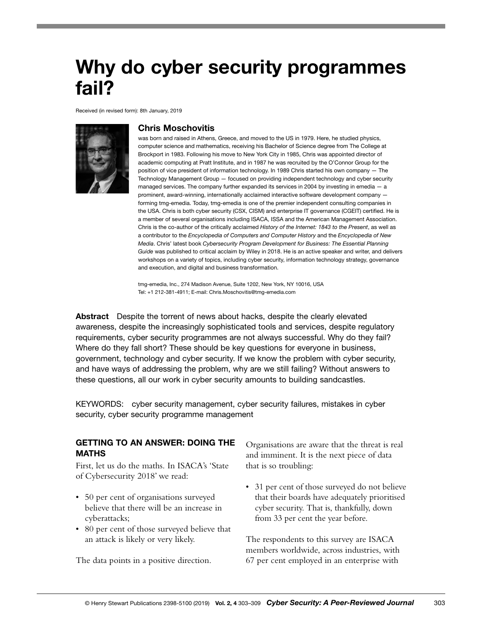# Why do cyber security programmes fail?

Received (in revised form): 8th January, 2019



### Chris Moschovitis

was born and raised in Athens, Greece, and moved to the US in 1979. Here, he studied physics, computer science and mathematics, receiving his Bachelor of Science degree from The College at Brockport in 1983. Following his move to New York City in 1985, Chris was appointed director of academic computing at Pratt Institute, and in 1987 he was recruited by the O'Connor Group for the position of vice president of information technology. In 1989 Chris started his own company — The Technology Management Group — focused on providing independent technology and cyber security managed services. The company further expanded its services in 2004 by investing in emedia - a prominent, award-winning, internationally acclaimed interactive software development company forming tmg-emedia. Today, tmg-emedia is one of the premier independent consulting companies in the USA. Chris is both cyber security (CSX, CISM) and enterprise IT governance (CGEIT) certified. He is a member of several organisations including ISACA, ISSA and the American Management Association. Chris is the co-author of the critically acclaimed *History of the Internet: 1843 to the Present*, as well as a contributor to the *Encyclopedia of Computers and Computer History* and the *Encyclopedia of New Media*. Chris' latest book *Cybersecurity Program Development for Business: The Essential Planning Guide* was published to critical acclaim by Wiley in 2018. He is an active speaker and writer, and delivers workshops on a variety of topics, including cyber security, information technology strategy, governance and execution, and digital and business transformation.

tmg-emedia, Inc., 274 Madison Avenue, Suite 1202, New York, NY 10016, USA Tel: +1 212-381-4911; E-mail: Chris.Moschovitis@tmg-emedia.com

Abstract Despite the torrent of news about hacks, despite the clearly elevated awareness, despite the increasingly sophisticated tools and services, despite regulatory requirements, cyber security programmes are not always successful. Why do they fail? Where do they fall short? These should be key questions for everyone in business, government, technology and cyber security. If we know the problem with cyber security, and have ways of addressing the problem, why are we still failing? Without answers to these questions, all our work in cyber security amounts to building sandcastles.

KEYWORDS: cyber security management, cyber security failures, mistakes in cyber security, cyber security programme management

# GETTING TO AN ANSWER: DOING THE MATHS

First, let us do the maths. In ISACA's 'State of Cybersecurity 2018' we read:

- 50 per cent of organisations surveyed believe that there will be an increase in cyberattacks;
- 80 per cent of those surveyed believe that an attack is likely or very likely.

The data points in a positive direction.

Organisations are aware that the threat is real and imminent. It is the next piece of data that is so troubling:

• 31 per cent of those surveyed do not believe that their boards have adequately prioritised cyber security. That is, thankfully, down from 33 per cent the year before.

The respondents to this survey are ISACA members worldwide, across industries, with 67 per cent employed in an enterprise with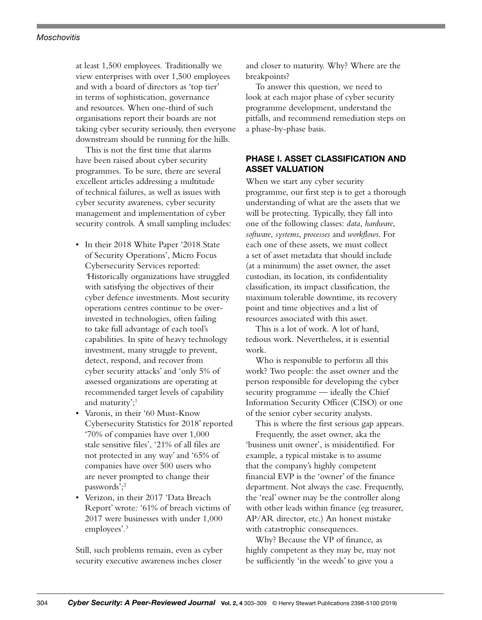#### <span id="page-1-0"></span>*Moschovitis*

at least 1,500 employees. Traditionally we view enterprises with over 1,500 employees and with a board of directors as 'top tier' in terms of sophistication, governance and resources. When one-third of such organisations report their boards are not taking cyber security seriously, then everyone downstream should be running for the hills.

This is not the first time that alarms have been raised about cyber security programmes. To be sure, there are several excellent articles addressing a multitude of technical failures, as well as issues with cyber security awareness, cyber security management and implementation of cyber security controls. A small sampling includes:

- In their 2018 White Paper '2018 State of Security Operations', Micro Focus Cybersecurity Services reported: *'*Historically organizations have struggled with satisfying the objectives of their cyber defence investments. Most security operations centres continue to be overinvested in technologies, often failing to take full advantage of each tool's capabilities. In spite of heavy technology investment, many struggle to prevent, detect, respond, and recover from cyber security attacks' and 'only 5% of assessed organizations are operating at recommended target levels of capability and maturity':<sup>[1](#page-6-0)</sup>
- Varonis, in their '60 Must-Know Cybersecurity Statistics for 2018' reported '70% of companies have over 1,000 stale sensitive files', '21% of all files are not protected in any way' and '65% of companies have over 500 users who are never prompted to change their passwords';<sup>[2](#page-6-0)</sup>
- Verizon, in their 2017 'Data Breach Report' wrote*:* '61% of breach victims of 2017 were businesses with under 1,000 employees'[.3](#page-6-0)

Still, such problems remain, even as cyber security executive awareness inches closer and closer to maturity. Why? Where are the breakpoints?

To answer this question, we need to look at each major phase of cyber security programme development, understand the pitfalls, and recommend remediation steps on a phase-by-phase basis.

# PHASE I. ASSET CLASSIFICATION AND ASSET VALUATION

When we start any cyber security programme, our first step is to get a thorough understanding of what are the assets that we will be protecting. Typically, they fall into one of the following classes: *data*, *hardware*, *software*, *systems*, *processes* and *workflows.* For each one of these assets, we must collect a set of asset metadata that should include (at a minimum) the asset owner, the asset custodian, its location, its confidentiality classification, its impact classification, the maximum tolerable downtime, its recovery point and time objectives and a list of resources associated with this asset.

This is a lot of work. A lot of hard, tedious work. Nevertheless, it is essential work.

Who is responsible to perform all this work? Two people: the asset owner and the person responsible for developing the cyber security programme — ideally the Chief Information Security Officer (CISO) or one of the senior cyber security analysts.

This is where the first serious gap appears. Frequently, the asset owner, aka the 'business unit owner', is misidentified. For example, a typical mistake is to assume that the company's highly competent financial EVP is the 'owner' of the finance department. Not always the case. Frequently, the 'real' owner may be the controller along with other leads within finance (eg treasurer, AP/AR director, etc.) An honest mistake with catastrophic consequences.

Why? Because the VP of finance, as highly competent as they may be, may not be sufficiently 'in the weeds' to give you a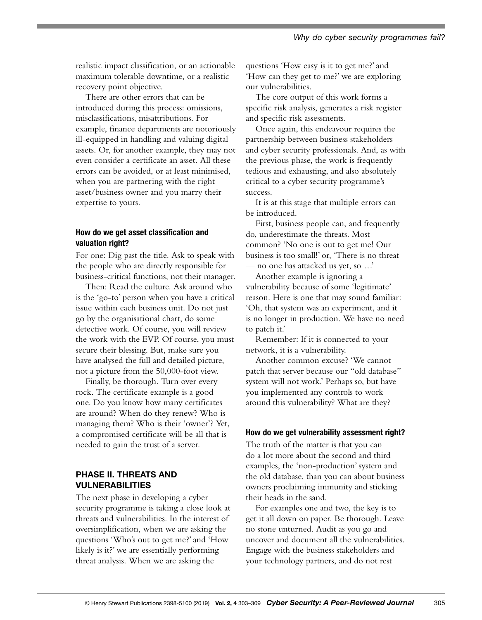realistic impact classification, or an actionable maximum tolerable downtime, or a realistic recovery point objective.

There are other errors that can be introduced during this process: omissions, misclassifications, misattributions. For example, finance departments are notoriously ill-equipped in handling and valuing digital assets. Or, for another example, they may not even consider a certificate an asset. All these errors can be avoided, or at least minimised, when you are partnering with the right asset/business owner and you marry their expertise to yours.

## How do we get asset classification and valuation right?

For one: Dig past the title. Ask to speak with the people who are directly responsible for business-critical functions, not their manager.

Then: Read the culture. Ask around who is the 'go-to' person when you have a critical issue within each business unit. Do not just go by the organisational chart, do some detective work. Of course, you will review the work with the EVP. Of course, you must secure their blessing. But, make sure you have analysed the full and detailed picture, not a picture from the 50,000-foot view.

Finally, be thorough. Turn over every rock. The certificate example is a good one. Do you know how many certificates are around? When do they renew? Who is managing them? Who is their 'owner'? Yet, a compromised certificate will be all that is needed to gain the trust of a server.

# PHASE II. THREATS AND VULNERABILITIES

The next phase in developing a cyber security programme is taking a close look at threats and vulnerabilities. In the interest of oversimplification, when we are asking the questions 'Who's out to get me?' and 'How likely is it?' we are essentially performing threat analysis. When we are asking the

questions 'How easy is it to get me?' and 'How can they get to me?' we are exploring our vulnerabilities.

The core output of this work forms a specific risk analysis, generates a risk register and specific risk assessments.

Once again, this endeavour requires the partnership between business stakeholders and cyber security professionals. And, as with the previous phase, the work is frequently tedious and exhausting, and also absolutely critical to a cyber security programme's success.

It is at this stage that multiple errors can be introduced.

First, business people can, and frequently do, underestimate the threats. Most common? 'No one is out to get me! Our business is too small!' or, 'There is no threat — no one has attacked us yet, so …'

Another example is ignoring a vulnerability because of some 'legitimate' reason. Here is one that may sound familiar: 'Oh, that system was an experiment, and it is no longer in production. We have no need to patch it.'

Remember: If it is connected to your network, it is a vulnerability.

Another common excuse? 'We cannot patch that server because our "old database" system will not work.' Perhaps so, but have you implemented any controls to work around this vulnerability? What are they?

## How do we get vulnerability assessment right?

The truth of the matter is that you can do a lot more about the second and third examples, the 'non-production' system and the old database, than you can about business owners proclaiming immunity and sticking their heads in the sand.

For examples one and two, the key is to get it all down on paper. Be thorough. Leave no stone unturned. Audit as you go and uncover and document all the vulnerabilities. Engage with the business stakeholders and your technology partners, and do not rest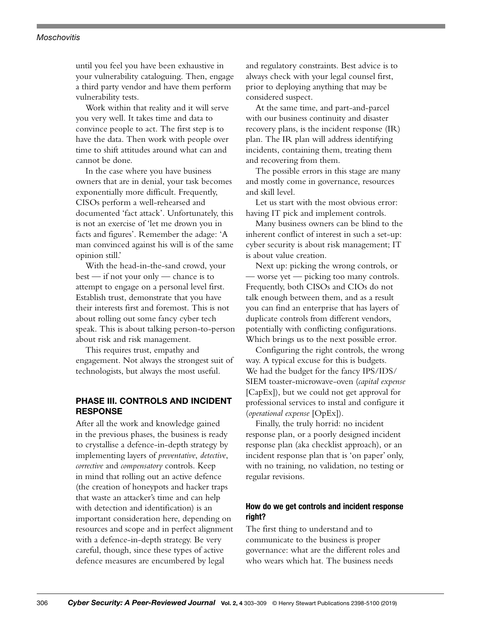#### *Moschovitis*

until you feel you have been exhaustive in your vulnerability cataloguing. Then, engage a third party vendor and have them perform vulnerability tests.

Work within that reality and it will serve you very well. It takes time and data to convince people to act. The first step is to have the data. Then work with people over time to shift attitudes around what can and cannot be done.

In the case where you have business owners that are in denial, your task becomes exponentially more difficult. Frequently, CISOs perform a well-rehearsed and documented 'fact attack'. Unfortunately, this is not an exercise of 'let me drown you in facts and figures'. Remember the adage: 'A man convinced against his will is of the same opinion still.'

With the head-in-the-sand crowd, your best — if not your only — chance is to attempt to engage on a personal level first. Establish trust, demonstrate that you have their interests first and foremost. This is not about rolling out some fancy cyber tech speak. This is about talking person-to-person about risk and risk management.

This requires trust, empathy and engagement. Not always the strongest suit of technologists, but always the most useful.

# PHASE III. CONTROLS AND INCIDENT **RESPONSE**

After all the work and knowledge gained in the previous phases, the business is ready to crystallise a defence-in-depth strategy by implementing layers of *preventative*, *detective*, *corrective* and *compensatory* controls. Keep in mind that rolling out an active defence (the creation of honeypots and hacker traps that waste an attacker's time and can help with detection and identification) is an important consideration here, depending on resources and scope and in perfect alignment with a defence-in-depth strategy. Be very careful, though, since these types of active defence measures are encumbered by legal

and regulatory constraints. Best advice is to always check with your legal counsel first, prior to deploying anything that may be considered suspect.

At the same time, and part-and-parcel with our business continuity and disaster recovery plans, is the incident response (IR) plan. The IR plan will address identifying incidents, containing them, treating them and recovering from them.

The possible errors in this stage are many and mostly come in governance, resources and skill level.

Let us start with the most obvious error: having IT pick and implement controls.

Many business owners can be blind to the inherent conflict of interest in such a set-up: cyber security is about risk management; IT is about value creation.

Next up: picking the wrong controls, or — worse yet — picking too many controls. Frequently, both CISOs and CIOs do not talk enough between them, and as a result you can find an enterprise that has layers of duplicate controls from different vendors, potentially with conflicting configurations. Which brings us to the next possible error.

Configuring the right controls, the wrong way. A typical excuse for this is budgets. We had the budget for the fancy IPS/IDS/ SIEM toaster-microwave-oven (*capital expense*  [CapEx]), but we could not get approval for professional services to instal and configure it (*operational expense* [OpEx]).

Finally, the truly horrid: no incident response plan, or a poorly designed incident response plan (aka checklist approach), or an incident response plan that is 'on paper' only, with no training, no validation, no testing or regular revisions.

# How do we get controls and incident response right?

The first thing to understand and to communicate to the business is proper governance: what are the different roles and who wears which hat. The business needs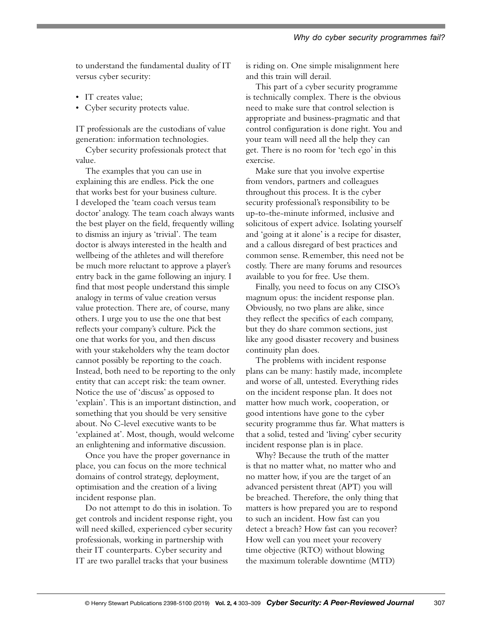to understand the fundamental duality of IT versus cyber security:

- IT creates value;
- Cyber security protects value.

IT professionals are the custodians of value generation: information technologies.

Cyber security professionals protect that value.

The examples that you can use in explaining this are endless. Pick the one that works best for your business culture. I developed the 'team coach versus team doctor' analogy. The team coach always wants the best player on the field, frequently willing to dismiss an injury as 'trivial'. The team doctor is always interested in the health and wellbeing of the athletes and will therefore be much more reluctant to approve a player's entry back in the game following an injury. I find that most people understand this simple analogy in terms of value creation versus value protection. There are, of course, many others. I urge you to use the one that best reflects your company's culture. Pick the one that works for you, and then discuss with your stakeholders why the team doctor cannot possibly be reporting to the coach. Instead, both need to be reporting to the only entity that can accept risk: the team owner. Notice the use of 'discuss' as opposed to 'explain'. This is an important distinction, and something that you should be very sensitive about. No C-level executive wants to be 'explained at'. Most, though, would welcome an enlightening and informative discussion.

Once you have the proper governance in place, you can focus on the more technical domains of control strategy, deployment, optimisation and the creation of a living incident response plan.

Do not attempt to do this in isolation. To get controls and incident response right, you will need skilled, experienced cyber security professionals, working in partnership with their IT counterparts. Cyber security and IT are two parallel tracks that your business

is riding on. One simple misalignment here and this train will derail.

This part of a cyber security programme is technically complex. There is the obvious need to make sure that control selection is appropriate and business-pragmatic and that control configuration is done right. You and your team will need all the help they can get. There is no room for 'tech ego' in this exercise.

Make sure that you involve expertise from vendors, partners and colleagues throughout this process. It is the cyber security professional's responsibility to be up-to-the-minute informed, inclusive and solicitous of expert advice. Isolating yourself and 'going at it alone' is a recipe for disaster, and a callous disregard of best practices and common sense. Remember, this need not be costly. There are many forums and resources available to you for free. Use them.

Finally, you need to focus on any CISO's magnum opus: the incident response plan. Obviously, no two plans are alike, since they reflect the specifics of each company, but they do share common sections, just like any good disaster recovery and business continuity plan does.

The problems with incident response plans can be many: hastily made, incomplete and worse of all, untested. Everything rides on the incident response plan. It does not matter how much work, cooperation, or good intentions have gone to the cyber security programme thus far. What matters is that a solid, tested and 'living' cyber security incident response plan is in place.

Why? Because the truth of the matter is that no matter what, no matter who and no matter how, if you are the target of an advanced persistent threat (APT) you will be breached. Therefore, the only thing that matters is how prepared you are to respond to such an incident. How fast can you detect a breach? How fast can you recover? How well can you meet your recovery time objective (RTO) without blowing the maximum tolerable downtime (MTD)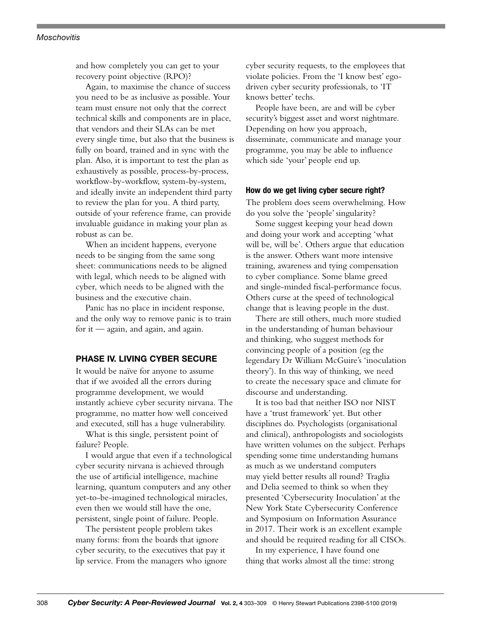#### *Moschovitis*

and how completely you can get to your recovery point objective (RPO)?

Again, to maximise the chance of success you need to be as inclusive as possible. Your team must ensure not only that the correct technical skills and components are in place, that vendors and their SLAs can be met every single time, but also that the business is fully on board, trained and in sync with the plan. Also, it is important to test the plan as exhaustively as possible, process-by-process, workflow-by-workflow, system-by-system, and ideally invite an independent third party to review the plan for you. A third party, outside of your reference frame, can provide invaluable guidance in making your plan as robust as can be.

When an incident happens, everyone needs to be singing from the same song sheet: communications needs to be aligned with legal, which needs to be aligned with cyber, which needs to be aligned with the business and the executive chain.

Panic has no place in incident response, and the only way to remove panic is to train for it — again, and again, and again.

## PHASE IV. LIVING CYBER SECURE

It would be naïve for anyone to assume that if we avoided all the errors during programme development, we would instantly achieve cyber security nirvana. The programme, no matter how well conceived and executed, still has a huge vulnerability.

What is this single, persistent point of failure? People.

I would argue that even if a technological cyber security nirvana is achieved through the use of artificial intelligence, machine learning, quantum computers and any other yet-to-be-imagined technological miracles, even then we would still have the one, persistent, single point of failure. People.

The persistent people problem takes many forms: from the boards that ignore cyber security, to the executives that pay it lip service. From the managers who ignore cyber security requests, to the employees that violate policies. From the 'I know best' egodriven cyber security professionals, to 'IT knows better' techs.

People have been, are and will be cyber security's biggest asset and worst nightmare. Depending on how you approach, disseminate, communicate and manage your programme, you may be able to influence which side 'your' people end up.

#### How do we get living cyber secure right?

The problem does seem overwhelming. How do you solve the 'people' singularity?

Some suggest keeping your head down and doing your work and accepting 'what will be, will be'. Others argue that education is the answer. Others want more intensive training, awareness and tying compensation to cyber compliance. Some blame greed and single-minded fiscal-performance focus. Others curse at the speed of technological change that is leaving people in the dust.

There are still others, much more studied in the understanding of human behaviour and thinking, who suggest methods for convincing people of a position (eg the legendary Dr William McGuire's 'inoculation theory'). In this way of thinking, we need to create the necessary space and climate for discourse and understanding.

It is too bad that neither ISO nor NIST have a 'trust framework' yet. But other disciplines do. Psychologists (organisational and clinical), anthropologists and sociologists have written volumes on the subject. Perhaps spending some time understanding humans as much as we understand computers may yield better results all round? Traglia and Delia seemed to think so when they presented 'Cybersecurity Inoculation' at the New York State Cybersecurity Conference and Symposium on Information Assurance in 2017. Their work is an excellent example and should be required reading for all CISOs.

In my experience, I have found one thing that works almost all the time: strong